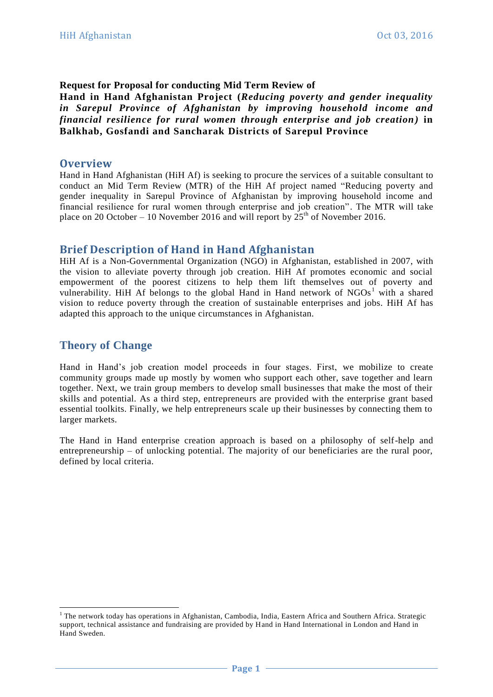### **Request for Proposal for conducting Mid Term Review of**

**Hand in Hand Afghanistan Project (***Reducing poverty and gender inequality in Sarepul Province of Afghanistan by improving household income and financial resilience for rural women through enterprise and job creation )* **in Balkhab, Gosfandi and Sancharak Districts of Sarepul Province**

#### **Overview**

Hand in Hand Afghanistan (HiH Af) is seeking to procure the services of a suitable consultant to conduct an Mid Term Review (MTR) of the HiH Af project named "Reducing poverty and gender inequality in Sarepul Province of Afghanistan by improving household income and financial resilience for rural women through enterprise and job creation". The MTR will take place on 20 October – 10 November 2016 and will report by  $25<sup>th</sup>$  of November 2016.

### **Brief Description of Hand in Hand Afghanistan**

HiH Af is a Non-Governmental Organization (NGO) in Afghanistan, established in 2007, with the vision to alleviate poverty through job creation. HiH Af promotes economic and social empowerment of the poorest citizens to help them lift themselves out of poverty and vulnerability. HiH Af belongs to the global Hand in Hand network of  $NGOs<sup>1</sup>$  with a shared vision to reduce poverty through the creation of sustainable enterprises and jobs. HiH Af has adapted this approach to the unique circumstances in Afghanistan.

## **Theory of Change**

-

Hand in Hand's job creation model proceeds in four stages. First, we mobilize to create community groups made up mostly by women who support each other, save together and learn together. Next, we train group members to develop small businesses that make the most of their skills and potential. As a third step, entrepreneurs are provided with the enterprise grant based essential toolkits. Finally, we help entrepreneurs scale up their businesses by connecting them to larger markets.

The Hand in Hand enterprise creation approach is based on a philosophy of self-help and entrepreneurship – of unlocking potential. The majority of our beneficiaries are the rural poor, defined by local criteria.

<sup>&</sup>lt;sup>1</sup> The network today has operations in Afghanistan, Cambodia, India, Eastern Africa and Southern Africa. Strategic support, technical assistance and fundraising are provided by Hand in Hand International in London and Hand in Hand Sweden.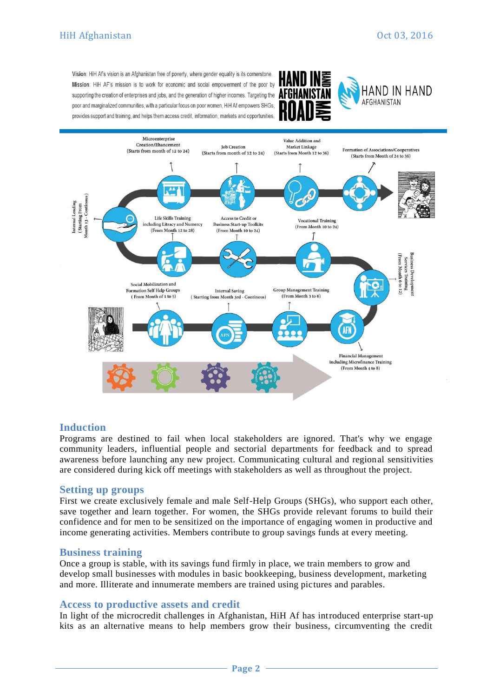Vision: HiH Af's vision is an Afghanistan free of poverty, where gender equality is its cornerstone Mission: HiH AF's mission is to work for economic and social empowerment of the poor by supporting the creation of enterprises and jobs, and the generation of higher incomes. Targeting the **AFGHAN** poor and marginalized communities, with a particular focus on poor women, HiH Af empowers SHGs, provides support and training, and helps them access credit, information, markets and opportunities.







### **Induction**

Programs are destined to fail when local stakeholders are ignored. That's why we engage community leaders, influential people and sectorial departments for feedback and to spread awareness before launching any new project. Communicating cultural and regional sensitivities are considered during kick off meetings with stakeholders as well as throughout the project.

#### **Setting up groups**

First we create exclusively female and male Self-Help Groups (SHGs), who support each other, save together and learn together. For women, the SHGs provide relevant forums to build their confidence and for men to be sensitized on the importance of engaging women in productive and income generating activities. Members contribute to group savings funds at every meeting.

#### **Business training**

Once a group is stable, with its savings fund firmly in place, we train members to grow and develop small businesses with modules in basic bookkeeping, business development, marketing and more. Illiterate and innumerate members are trained using pictures and parables.

#### **Access to productive assets and credit**

In light of the microcredit challenges in Afghanistan, HiH Af has introduced enterprise start-up kits as an alternative means to help members grow their business, circumventing the credit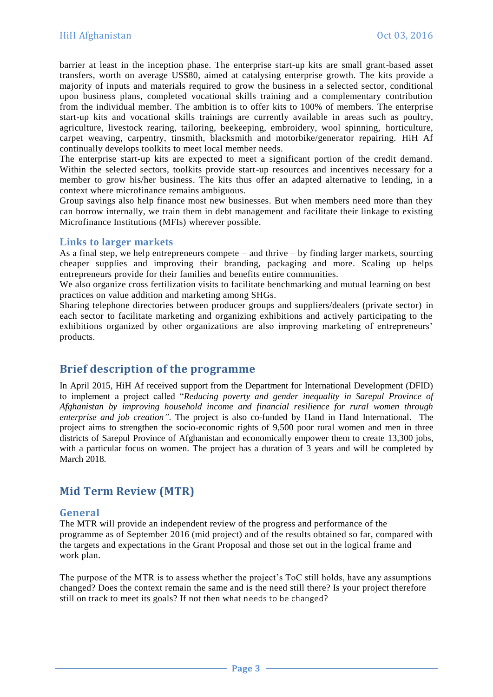barrier at least in the inception phase. The enterprise start-up kits are small grant-based asset transfers, worth on average US\$80, aimed at catalysing enterprise growth. The kits provide a majority of inputs and materials required to grow the business in a selected sector, conditional upon business plans, completed vocational skills training and a complementary contribution from the individual member. The ambition is to offer kits to 100% of members. The enterprise start-up kits and vocational skills trainings are currently available in areas such as poultry, agriculture, livestock rearing, tailoring, beekeeping, embroidery, wool spinning, horticulture, carpet weaving, carpentry, tinsmith, blacksmith and motorbike/generator repairing. HiH Af continually develops toolkits to meet local member needs.

The enterprise start-up kits are expected to meet a significant portion of the credit demand. Within the selected sectors, toolkits provide start-up resources and incentives necessary for a member to grow his/her business. The kits thus offer an adapted alternative to lending, in a context where microfinance remains ambiguous.

Group savings also help finance most new businesses. But when members need more than they can borrow internally, we train them in debt management and facilitate their linkage to existing Microfinance Institutions (MFIs) wherever possible.

#### **Links to larger markets**

As a final step, we help entrepreneurs compete – and thrive  $-$  by finding larger markets, sourcing cheaper supplies and improving their branding, packaging and more. Scaling up helps entrepreneurs provide for their families and benefits entire communities.

We also organize cross fertilization visits to facilitate benchmarking and mutual learning on best practices on value addition and marketing among SHGs.

Sharing telephone directories between producer groups and suppliers/dealers (private sector) in each sector to facilitate marketing and organizing exhibitions and actively participating to the exhibitions organized by other organizations are also improving marketing of entrepreneurs' products.

### **Brief description of the programme**

In April 2015, HiH Af received support from the Department for International Development (DFID) to implement a project called "*Reducing poverty and gender inequality in Sarepul Province of Afghanistan by improving household income and financial resilience for rural women through enterprise and job creation"*. The project is also co-funded by Hand in Hand International. The project aims to strengthen the socio-economic rights of 9,500 poor rural women and men in three districts of Sarepul Province of Afghanistan and economically empower them to create 13,300 jobs, with a particular focus on women. The project has a duration of 3 years and will be completed by March 2018.

### **Mid Term Review (MTR)**

#### **General**

The MTR will provide an independent review of the progress and performance of the programme as of September 2016 (mid project) and of the results obtained so far, compared with the targets and expectations in the Grant Proposal and those set out in the logical frame and work plan.

The purpose of the MTR is to assess whether the project's ToC still holds, have any assumptions changed? Does the context remain the same and is the need still there? Is your project therefore still on track to meet its goals? If not then what needs to be changed?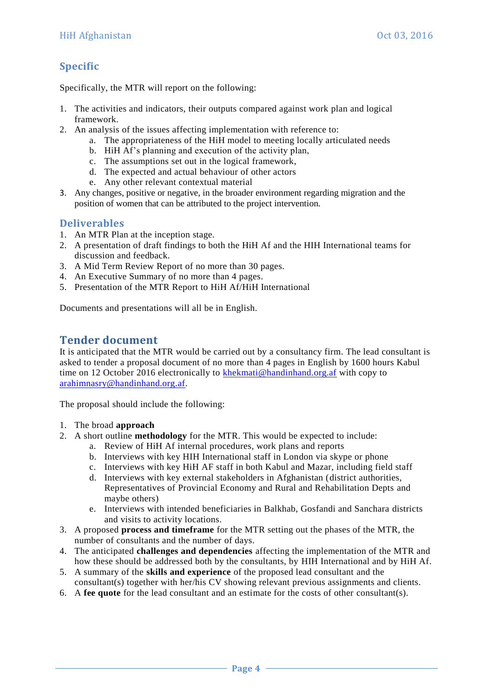# **Specific**

Specifically, the MTR will report on the following:

- 1. The activities and indicators, their outputs compared against work plan and logical framework.
- 2. An analysis of the issues affecting implementation with reference to:
	- a. The appropriateness of the HiH model to meeting locally articulated needs
	- b. HiH Af's planning and execution of the activity plan,
	- c. The assumptions set out in the logical framework,
	- d. The expected and actual behaviour of other actors
	- e. Any other relevant contextual material
- 3. Any changes, positive or negative, in the broader environment regarding migration and the position of women that can be attributed to the project intervention.

### **Deliverables**

- 1. An MTR Plan at the inception stage.
- 2. A presentation of draft findings to both the HiH Af and the HIH International teams for discussion and feedback.
- 3. A Mid Term Review Report of no more than 30 pages.
- 4. An Executive Summary of no more than 4 pages.
- 5. Presentation of the MTR Report to HiH Af/HiH International

Documents and presentations will all be in English.

## **Tender document**

It is anticipated that the MTR would be carried out by a consultancy firm. The lead consultant is asked to tender a proposal document of no more than 4 pages in English by 1600 hours Kabul time on 12 October 2016 electronically to **[khekmati@handinhand.org.af](mailto:khekmati@handinhand.org.af)** with copy to [arahimnasry@handinhand.org.af.](mailto:arahimnasry@handinhand.org.af)

The proposal should include the following:

- 1. The broad **approach**
- 2. A short outline **methodology** for the MTR. This would be expected to include:
	- a. Review of HiH Af internal procedures, work plans and reports
	- b. Interviews with key HIH International staff in London via skype or phone
	- c. Interviews with key HiH AF staff in both Kabul and Mazar, including field staff
	- d. Interviews with key external stakeholders in Afghanistan (district authorities, Representatives of Provincial Economy and Rural and Rehabilitation Depts and maybe others)
	- e. Interviews with intended beneficiaries in Balkhab, Gosfandi and Sanchara districts and visits to activity locations.
- 3. A proposed **process and timeframe** for the MTR setting out the phases of the MTR, the number of consultants and the number of days.
- 4. The anticipated **challenges and dependencies** affecting the implementation of the MTR and how these should be addressed both by the consultants, by HIH International and by HiH Af.
- 5. A summary of the **skills and experience** of the proposed lead consultant and the consultant(s) together with her/his CV showing relevant previous assignments and clients.
- 6. A **fee quote** for the lead consultant and an estimate for the costs of other consultant(s).